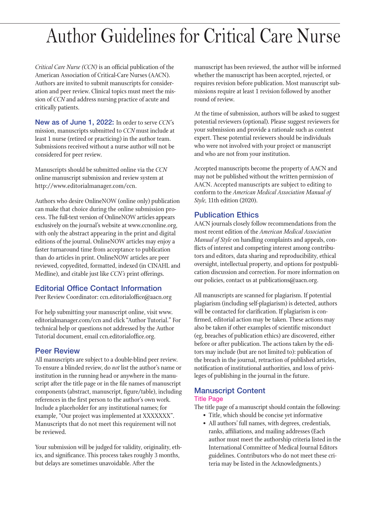# Author Guidelines for Critical Care Nurse

*Critical Care Nurse (CCN)* is an official publication of the American Association of Critical-Care Nurses (AACN). Authors are invited to submit manuscripts for consideration and peer review. Clinical topics must meet the mission of *CCN* and address nursing practice of acute and critically patients.

New as of June 1, 2022: In order to serve *CCN'*s mission, manuscripts submitted to *CCN* must include at least 1 nurse (retired or practicing) in the author team. Submissions received without a nurse author will not be considered for peer review.

Manuscripts should be submitted online via the *CCN* online manuscript submission and review system at http://www.editorialmanager.com/ccn.

Authors who desire OnlineNOW (online only) publication can make that choice during the online submission process. The full-text version of OnlineNOW articles appears exclusively on the journal's website at www.ccnonline.org, with only the abstract appearing in the print and digital editions of the journal. OnlineNOW articles may enjoy a faster turnaround time from acceptance to publication than do articles in print. OnlineNOW articles are peer reviewed, copyedited, formatted, indexed (in CINAHL and Medline), and citable just like *CCN's* print offerings.

# Editorial Office Contact Information

Peer Review Coordinator: ccn.editorialoffice@aacn.org

For help submitting your manuscript online, visit www. editorialmanager.com/ccn and click "Author Tutorial." For technical help or questions not addressed by the Author Tutorial document, email ccn.editorialoffice.org.

# Peer Review

All manuscripts are subject to a double-blind peer review. To ensure a blinded review, do *not* list the author's name or institution in the running head or anywhere in the manuscript after the title page or in the file names of manuscript components (abstract, manuscript, figure/table), including references in the first person to the author's own work. Include a placeholder for any institutional names; for example, "Our project was implemented at XXXXXXX". Manuscripts that do not meet this requirement will not be reviewed.

Your submission will be judged for validity, originality, ethics, and significance. This process takes roughly 3 months, but delays are sometimes unavoidable. After the

manuscript has been reviewed, the author will be informed whether the manuscript has been accepted, rejected, or requires revision before publication. Most manuscript submissions require at least 1 revision followed by another round of review.

At the time of submission, authors will be asked to suggest potential reviewers (optional). Please suggest reviewers for your submission and provide a rationale such as content expert. These potential reviewers should be individuals who were not involved with your project or manuscript and who are not from your institution.

Accepted manuscripts become the property of AACN and may not be published without the written permission of AACN. Accepted manuscripts are subject to editing to conform to the *American Medical Association Manual of Style,* 11th edition (2020).

# Publication Ethics

AACN journals closely follow recommendations from the most recent edition of the *American Medical Association Manual of Style* on handling complaints and appeals, conflicts of interest and competing interest among contributors and editors, data sharing and reproducibility, ethical oversight, intellectual property, and options for postpublication discussion and correction. For more information on our policies, contact us at publications@aacn.org.

All manuscripts are scanned for plagiarism. If potential plagiarism (including self-plagiarism) is detected, authors will be contacted for clarification. If plagiarism is confirmed, editorial action may be taken. These actions may also be taken if other examples of scientific misconduct (eg, breaches of publication ethics) are discovered, either before or after publication. The actions taken by the editors may include (but are not limited to): publication of the breach in the journal, retraction of published articles, notification of institutional authorities, and loss of privileges of publishing in the journal in the future.

# Manuscript Content

## Title Page

The title page of a manuscript should contain the following:

- Title, which should be concise yet informative
- All authors' full names, with degrees, credentials, ranks, affiliations, and mailing addresses (Each author must meet the authorship criteria listed in the International Committee of Medical Journal Editors guidelines. Contributors who do not meet these criteria may be listed in the Acknowledgments.)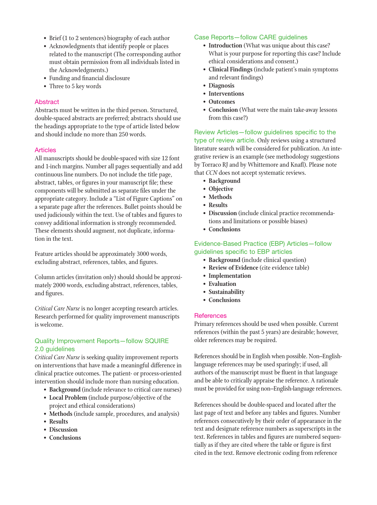- Brief (1 to 2 sentences) biography of each author
- Acknowledgments that identify people or places related to the manuscript (The corresponding author must obtain permission from all individuals listed in the Acknowledgments.)
- Funding and financial disclosure
- Three to 5 key words

## Abstract

Abstracts must be written in the third person. Structured, double-spaced abstracts are preferred; abstracts should use the headings appropriate to the type of article listed below and should include no more than 250 words.

## Articles

All manuscripts should be double-spaced with size 12 font and 1-inch margins. Number all pages sequentially and add continuous line numbers. Do not include the title page, abstract, tables, or figures in your manuscript file; these components will be submitted as separate files under the appropriate category. Include a "List of Figure Captions" on a separate page after the references. Bullet points should be used judiciously within the text. Use of tables and figures to convey additional information is strongly recommended. These elements should augment, not duplicate, information in the text.

Feature articles should be approximately 3000 words, excluding abstract, references, tables, and figures.

Column articles (invitation only) should should be approximately 2000 words, excluding abstract, references, tables, and figures.

*Critical Care Nurse* is no longer accepting research articles. Research performed for quality improvement manuscripts is welcome.

## Quality Improvement Reports—follow SQUIRE 2.0 guidelines

*Critical Care Nurse* is seeking quality improvement reports on interventions that have made a meaningful difference in clinical practice outcomes. The patient- or process-oriented intervention should include more than nursing education.

- **Background** (include relevance to critical care nurses)
- **Local Problem** (include purpose/objective of the project and ethical considerations)
- **Methods** (include sample, procedures, and analysis)
- **Results**
- **Discussion**
- **Conclusions**

## Case Reports—follow CARE guidelines

- **Introduction** (What was unique about this case? What is your purpose for reporting this case? Include ethical considerations and consent.)
- **Clinical Findings** (include patient's main symptoms and relevant findings)
- **Diagnosis**
- **Interventions**
- **Outcomes**
- **Conclusion** (What were the main take-away lessons from this case?)

Review Articles—follow guidelines specific to the type of review article. Only reviews using a structured literature search will be considered for publication. An integrative review is an example (see methodology suggestions by Torraco RJ and by Whittemore and Knafl). Please note that *CCN* does not accept systematic reviews.

- **Background**
- **Objective**
- **Methods**
- **Results**
- **Discussion** (include clinical practice recommendations and limitations or possible biases)
- **Conclusions**

Evidence-Based Practice (EBP) Articles—follow guidelines specific to EBP articles

- **Background** (include clinical question)
- **Review of Evidence** (cite evidence table)
- **Implementation**
- **Evaluation**
- **Sustainability**
- **Conclusions**

## **References**

Primary references should be used when possible. Current references (within the past 5 years) are desirable; however, older references may be required.

References should be in English when possible. Non–Englishlanguage references may be used sparingly; if used, all authors of the manuscript must be fluent in that language and be able to critically appraise the reference. A rationale must be provided for using non–English-language references.

References should be double-spaced and located after the last page of text and before any tables and figures. Number references consecutively by their order of appearance in the text and designate reference numbers as superscripts in the text. References in tables and figures are numbered sequentially as if they are cited where the table or figure is first cited in the text. Remove electronic coding from reference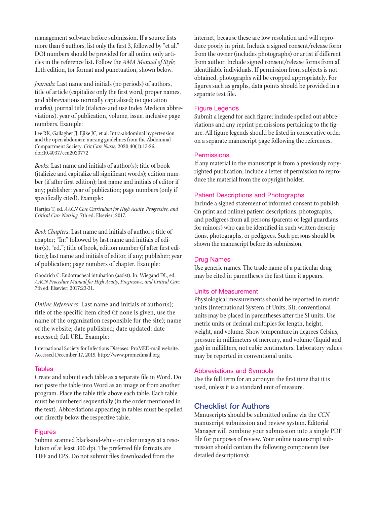management software before submission. If a source lists more than 6 authors, list only the first 3, followed by "et al." DOI numbers should be provided for all online only articles in the reference list. Follow the *AMA Manual of Style,* 11th edition, for format and punctuation, shown below.

*Journals*: Last name and initials (no periods) of authors, title of article (capitalize only the first word, proper names, and abbreviations normally capitalized; no quotation marks), journal title (italicize and use Index Medicus abbreviations), year of publication, volume, issue, inclusive page numbers. Example:

Lee RK, Gallagher JJ, Ejike JC, et al. Intra-abdominal hypertension and the open abdomen: nursing guidelines from the Abdominal Compartment Society. *Crit Care Nurse.* 2020;40(1):13-26. doi:10.4037/ccn2020772

*Books*: Last name and initials of author(s); title of book (italicize and capitalize all significant words); edition number (if after first edition); last name and initials of editor if any; publisher; year of publication; page numbers (only if specifically cited). Example:

Hartjes T, ed. *AACN Core Curriculum for High Acuity, Progressive, and Critical Care Nursing.* 7th ed. Elsevier; 2017.

*Book Chapters*: Last name and initials of authors; title of chapter; "In:" followed by last name and initials of editor(s), "ed."; title of book, edition number (if after first edition); last name and initials of editor, if any; publisher; year of publication; page numbers of chapter. Example:

Goodrich C. Endotracheal intubation (assist). In: Wiegand DL, ed. *AACN Procedure Manual for High Acuity, Progressive, and Critical Care.* 7th ed. Elsevier; 2017:23-31.

*Online References*: Last name and initials of author(s); title of the specific item cited (if none is given, use the name of the organization responsible for the site); name of the website; date published; date updated; date accessed; full URL. Example:

International Society for Infectious Diseases. ProMED-mail website. Accessed December 17, 2019. http://www.promedmail.org

#### **Tables**

Create and submit each table as a separate file in Word. Do not paste the table into Word as an image or from another program. Place the table title above each table. Each table must be numbered sequentially (in the order mentioned in the text). Abbreviations appearing in tables must be spelled out directly below the respective table.

#### Figures

Submit scanned black-and-white or color images at a resolution of at least 300 dpi. The preferred file formats are TIFF and EPS. Do not submit files downloaded from the

internet, because these are low resolution and will reproduce poorly in print. Include a signed consent/release form from the owner (includes photographs) or artist if different from author. Include signed consent/release forms from all identifiable individuals. If permission from subjects is not obtained, photographs will be cropped appropriately. For figures such as graphs, data points should be provided in a separate text file.

#### Figure Legends

Submit a legend for each figure; include spelled out abbreviations and any reprint permissions pertaining to the figure. All figure legends should be listed in consecutive order on a separate manuscript page following the references.

#### **Permissions**

If any material in the manuscript is from a previously copyrighted publication, include a letter of permission to reproduce the material from the copyright holder.

#### Patient Descriptions and Photographs

Include a signed statement of informed consent to publish (in print and online) patient descriptions, photographs, and pedigrees from all persons (parents or legal guardians for minors) who can be identified in such written descriptions, photographs, or pedigrees. Such persons should be shown the manuscript before its submission.

#### Drug Names

Use generic names. The trade name of a particular drug may be cited in parentheses the first time it appears.

#### Units of Measurement

Physiological measurements should be reported in metric units (International System of Units, SI); conventional units may be placed in parentheses after the SI units. Use metric units or decimal multiples for length, height, weight, and volume. Show temperature in degrees Celsius, pressure in millimeters of mercury, and volume (liquid and gas) in milliliters, not cubic centimeters. Laboratory values may be reported in conventional units.

#### Abbreviations and Symbols

Use the full term for an acronym the first time that it is used, unless it is a standard unit of measure.

## Checklist for Authors

Manuscripts should be submitted online via the *CCN* manuscript submission and review system. Editorial Manager will combine your submission into a single PDF file for purposes of review. Your online manuscript submission should contain the following components (see detailed descriptions):